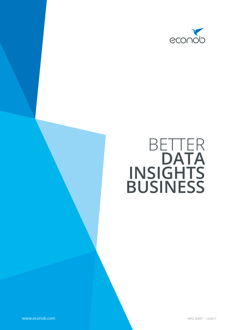

# BETTER **DATA INSIGHTS BUSINESS**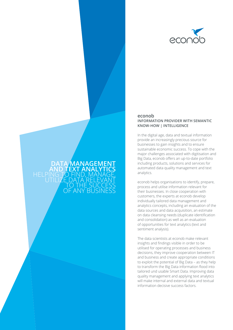

#### In the digital age, data and textual information provide an increasingly precious source for businesses to gain insights and to ensure sustainable economic success. To cope with the

**DATA MANAGEMENT AND TEXT ANALYTICS**

> TO THE SUCCESS OF ANY BUSINESS

HELPING TO FIND, MANAGE,<br>UTILIZE DATA RELEVANT

**econob** 

major challenges associated with digitisation and Big Data, econob offers an up-to-date portfolio including products, solutions and services for automated data quality management and text analytics.

**INFORMATION PROVIDER WITH SEMANTIC** 

**KNOW-HOW | INTELLIGENCE** 

econob helps organisations to identify, prepare, process and utilise information relevant for their businesses. In close cooperation with customers, the experts at econob develop individually tailored data management and analytics concepts, including an evaluation of the data sources and data acquisition, an estimate on data cleansing needs (duplicate identification and consolidation) as well as an evaluation of opportunities for text analytics (text and sentiment analysis).

The data scientists at econob make relevant insights and findings visible in order to be utilised for operating processes and business decisions, they improve cooperation between IT and business and create appropriate conditions to exploit the potential of Big Data – as they help to transform the Big Data information flood into tailored und usable Smart Data. Improving data quality management and applying text analytics will make internal and external data and textual information decisive success factors.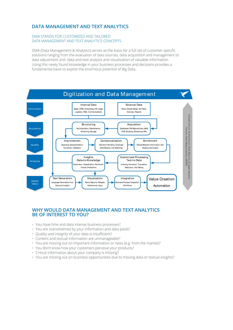# **DATA MANAGEMENT AND TEXT ANALYTICS**

### DMA STANDS FOR CUSTOMIZED AND TAILORED DATA MANAGEMENT AND TEXT ANALYTICS CONCEPTS

DMA (Data Management & Analytics) serves as the basis for a full set of customer specific solutions ranging from the evaluation of data sources, data acquisition and management to data adjustment and data and text analysis and visualization of valuable information. Using this newly found knowledge in your business processes and decisions provides a fundamental basis to exploit the enormous potential of Big Data.



## **WHY WOULD DATA MANAGEMENT AND TEXT ANALYTICS BE OF INTEREST TO YOU?**

- You have time and data intense business processes?
- You are overwhelmed by your information and data pools?
- Quality and integrity of your data is insufficient?
- Content and textual information are unmanageable?
- You are missing out on important information or news (e.g. from the market)?
- You don't know how your customers perceive your products?
- Critical information about your company is missing?
- You are missing out on business opportunities due to missing data or textual insights?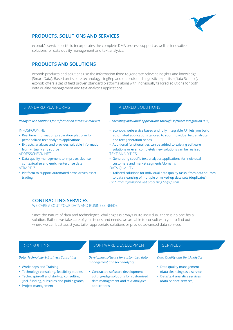

# **PRODUCTS, SOLUTIONS AND SERVICES**

econob's service portfolio incorporates the complete DMA process support as well as innovative solutions for data quality management and text analytics.

# **PRODUCTS AND SOLUTIONS**

econob products and solutions use the information flood to generate relevant insights and knowledge (Smart Data). Based on its core technology LingRep and on profound linguistic expertise (Data Science), econob offers a set of field proven standard platforms along with individually tailored solutions for both data quality management and text analytics applications.

#### *Ready to use solutions for information intensive markets*

#### INFOSPOON.NET

- Real time information preparation platform for personalized text analytics applications
- Extracts, analyses and provides valuable information from virtually any source

#### ADRESSCHECK.NET

• Data quality management to improve, cleanse, contextualize and enrich enterprise data

## ATRAP<sub>RIZ</sub>

• Platform to support automated news driven asset trading

## STANDARD PLATFORMS TAILORED SOLUTIONS

*Generating individual applications through software integration (API)* 

- econob's webservice based and fully integrable API lets you build automated applications tailored to your individual text analytics and text generation needs
- Additional functionalities can be added to existing software solutions or even completely new solutions can be realised TEXT ANALYTICS
- • Generating specific text analytics applications for individual customers and market segments/domains DATA QUALITY
- Tailored solutions for individual data quality tasks: from data sources to data cleansing of multiple or mixed-up data sets (duplicates) *For further information visit processing.lingrep.com*

# **CONTRACTING SERVICES**

#### WE CARE ABOUT YOUR DATA AND BUSINESS NEEDS

Since the nature of data and technological challenges is always quite individual, there is no one-fits-all solution. Rather, we take care of your issues and needs, we are able to consult with you to find out where we can best assist you, tailor appropriate solutions or provide advanced data services.

#### *Data, Technology & Business Consulting*

- Workshops and Training
- Technology consulting, feasibility studies
- • Techn. spin-off and start-up consulting (incl. funding, subsidies and public grants)
- Project management

# CONSULTING SOFTWARE DEVELOPMENT SERVICES

*Developing software for customized data management and text analytics*

• Contracted software development cutting-edge solutions for customized data management and text analytics applications

#### *Data Quality and Text Analytics*

- Data quality management (data cleansing) as a service
- Data/text analytics services (data science services)